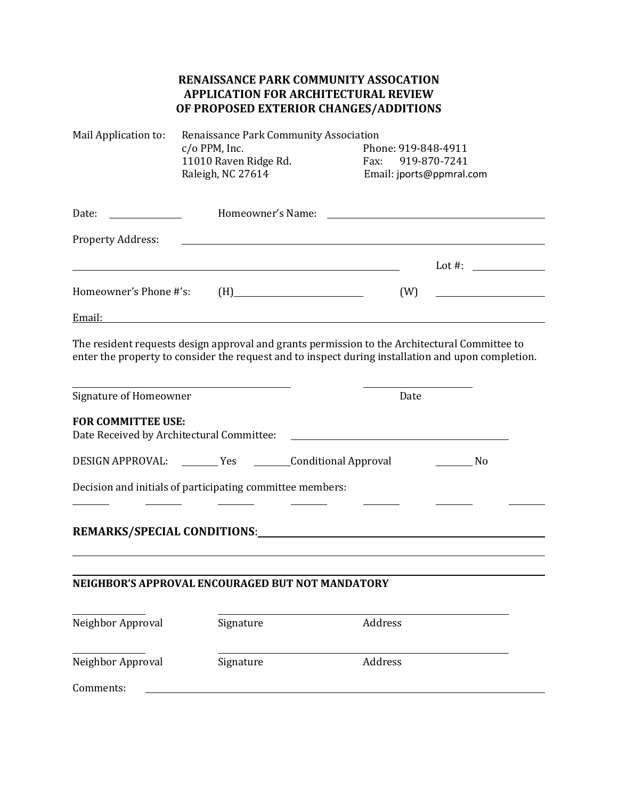## **RENAISSANCE PARK COMMUNITY ASSOCATION APPLICATION FOR ARCHITECTURAL REVIEW OF PROPOSED EXTERIOR CHANGES/ADDITIONS**

| Mail Application to:      | Renaissance Park Community Association                                                                                                                                                                                                                |                                                                                                                                                                                                                               |            |
|---------------------------|-------------------------------------------------------------------------------------------------------------------------------------------------------------------------------------------------------------------------------------------------------|-------------------------------------------------------------------------------------------------------------------------------------------------------------------------------------------------------------------------------|------------|
|                           | $c$ /o PPM, Inc.                                                                                                                                                                                                                                      | Phone: 919-848-4911                                                                                                                                                                                                           |            |
|                           | 11010 Raven Ridge Rd.                                                                                                                                                                                                                                 | 919-870-7241<br>Fax:                                                                                                                                                                                                          |            |
|                           | Raleigh, NC 27614                                                                                                                                                                                                                                     | Email: jports@ppmral.com                                                                                                                                                                                                      |            |
| Date:                     |                                                                                                                                                                                                                                                       | Homeowner's Name: Name: Name: Name: Name: Name: Name: Name: Name: Name: Name: Name: Name: Name: Name: Name: Name: Name: Name: Name: Name: Name: Name: Name: Name: Name: Name: Name: Name: Name: Name: Name: Name: Name: Name: |            |
| <b>Property Address:</b>  |                                                                                                                                                                                                                                                       |                                                                                                                                                                                                                               |            |
|                           |                                                                                                                                                                                                                                                       |                                                                                                                                                                                                                               | Lot $\#$ : |
| Homeowner's Phone #'s:    | $(H)$ and $(H)$ and $(H)$ and $(H)$ and $(H)$ and $(H)$ and $(H)$ and $(H)$ and $(H)$ and $(H)$ and $(H)$ and $(H)$ and $(H)$ and $(H)$ and $(H)$ and $(H)$ and $(H)$ and $(H)$ and $(H)$ and $(H)$ and $(H)$ and $(H)$ and $(H)$ and $(H)$ and $(H)$ | (W)                                                                                                                                                                                                                           |            |
|                           |                                                                                                                                                                                                                                                       |                                                                                                                                                                                                                               |            |
|                           | The resident requests design approval and grants permission to the Architectural Committee to<br>enter the property to consider the request and to inspect during installation and upon completion.                                                   |                                                                                                                                                                                                                               |            |
| Signature of Homeowner    |                                                                                                                                                                                                                                                       | Date                                                                                                                                                                                                                          |            |
| <b>FOR COMMITTEE USE:</b> | Date Received by Architectural Committee:                                                                                                                                                                                                             |                                                                                                                                                                                                                               |            |
|                           | DESIGN APPROVAL: ________ Yes ________Conditional Approval                                                                                                                                                                                            |                                                                                                                                                                                                                               | No         |
|                           | Decision and initials of participating committee members:                                                                                                                                                                                             |                                                                                                                                                                                                                               |            |
|                           |                                                                                                                                                                                                                                                       |                                                                                                                                                                                                                               |            |
|                           |                                                                                                                                                                                                                                                       |                                                                                                                                                                                                                               |            |
|                           | NEIGHBOR'S APPROVAL ENCOURAGED BUT NOT MANDATORY                                                                                                                                                                                                      |                                                                                                                                                                                                                               |            |
| Neighbor Approval         | Signature                                                                                                                                                                                                                                             | Address                                                                                                                                                                                                                       |            |
| Neighbor Approval         | Signature                                                                                                                                                                                                                                             | Address                                                                                                                                                                                                                       |            |
| Comments:                 |                                                                                                                                                                                                                                                       |                                                                                                                                                                                                                               |            |